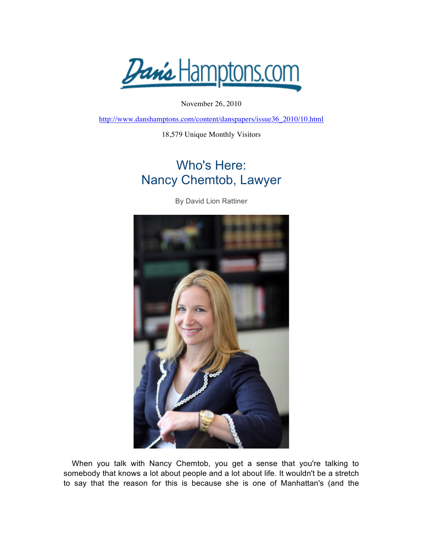Dan's Hamptons.com

November 26, 2010

http://www.danshamptons.com/content/danspapers/issue36\_2010/10.html

18,579 Unique Monthly Visitors

## Who's Here: Nancy Chemtob, Lawyer

By David Lion Rattiner



When you talk with Nancy Chemtob, you get a sense that you're talking to somebody that knows a lot about people and a lot about life. It wouldn't be a stretch to say that the reason for this is because she is one of Manhattan's (and the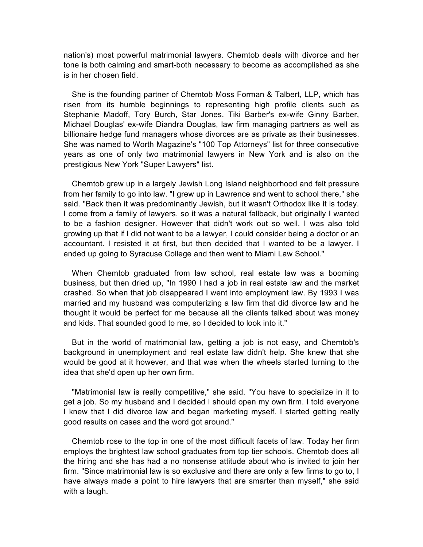nation's) most powerful matrimonial lawyers. Chemtob deals with divorce and her tone is both calming and smart-both necessary to become as accomplished as she is in her chosen field.

She is the founding partner of Chemtob Moss Forman & Talbert, LLP, which has risen from its humble beginnings to representing high profile clients such as Stephanie Madoff, Tory Burch, Star Jones, Tiki Barber's ex-wife Ginny Barber, Michael Douglas' ex-wife Diandra Douglas, law firm managing partners as well as billionaire hedge fund managers whose divorces are as private as their businesses. She was named to Worth Magazine's "100 Top Attorneys" list for three consecutive years as one of only two matrimonial lawyers in New York and is also on the prestigious New York "Super Lawyers" list.

Chemtob grew up in a largely Jewish Long Island neighborhood and felt pressure from her family to go into law. "I grew up in Lawrence and went to school there," she said. "Back then it was predominantly Jewish, but it wasn't Orthodox like it is today. I come from a family of lawyers, so it was a natural fallback, but originally I wanted to be a fashion designer. However that didn't work out so well. I was also told growing up that if I did not want to be a lawyer, I could consider being a doctor or an accountant. I resisted it at first, but then decided that I wanted to be a lawyer. I ended up going to Syracuse College and then went to Miami Law School."

When Chemtob graduated from law school, real estate law was a booming business, but then dried up, "In 1990 I had a job in real estate law and the market crashed. So when that job disappeared I went into employment law. By 1993 I was married and my husband was computerizing a law firm that did divorce law and he thought it would be perfect for me because all the clients talked about was money and kids. That sounded good to me, so I decided to look into it."

But in the world of matrimonial law, getting a job is not easy, and Chemtob's background in unemployment and real estate law didn't help. She knew that she would be good at it however, and that was when the wheels started turning to the idea that she'd open up her own firm.

"Matrimonial law is really competitive," she said. "You have to specialize in it to get a job. So my husband and I decided I should open my own firm. I told everyone I knew that I did divorce law and began marketing myself. I started getting really good results on cases and the word got around."

Chemtob rose to the top in one of the most difficult facets of law. Today her firm employs the brightest law school graduates from top tier schools. Chemtob does all the hiring and she has had a no nonsense attitude about who is invited to join her firm. "Since matrimonial law is so exclusive and there are only a few firms to go to, I have always made a point to hire lawyers that are smarter than myself," she said with a laugh.